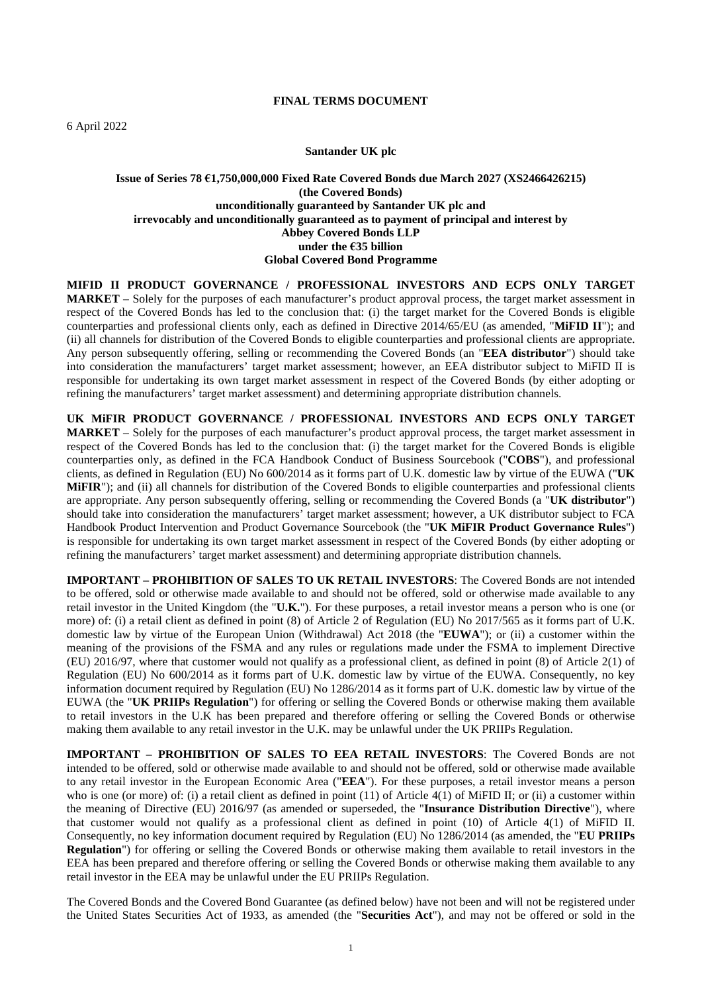#### **FINAL TERMS DOCUMENT**

#### **Santander UK plc**

#### **Issue of Series 78 €1,750,000,000 Fixed Rate Covered Bonds due March 2027 (XS2466426215) (the Covered Bonds) unconditionally guaranteed by Santander UK plc and irrevocably and unconditionally guaranteed as to payment of principal and interest by Abbey Covered Bonds LLP under the €35 billion Global Covered Bond Programme**

**MIFID II PRODUCT GOVERNANCE / PROFESSIONAL INVESTORS AND ECPS ONLY TARGET MARKET** – Solely for the purposes of each manufacturer's product approval process, the target market assessment in respect of the Covered Bonds has led to the conclusion that: (i) the target market for the Covered Bonds is eligible counterparties and professional clients only, each as defined in Directive 2014/65/EU (as amended, "**MiFID II**"); and (ii) all channels for distribution of the Covered Bonds to eligible counterparties and professional clients are appropriate. Any person subsequently offering, selling or recommending the Covered Bonds (an "**EEA distributor**") should take into consideration the manufacturers' target market assessment; however, an EEA distributor subject to MiFID II is responsible for undertaking its own target market assessment in respect of the Covered Bonds (by either adopting or refining the manufacturers' target market assessment) and determining appropriate distribution channels.

**UK MiFIR PRODUCT GOVERNANCE / PROFESSIONAL INVESTORS AND ECPS ONLY TARGET MARKET** – Solely for the purposes of each manufacturer's product approval process, the target market assessment in respect of the Covered Bonds has led to the conclusion that: (i) the target market for the Covered Bonds is eligible counterparties only, as defined in the FCA Handbook Conduct of Business Sourcebook ("**COBS**"), and professional clients, as defined in Regulation (EU) No 600/2014 as it forms part of U.K. domestic law by virtue of the EUWA ("**UK MIFIR**"); and (ii) all channels for distribution of the Covered Bonds to eligible counterparties and professional clients are appropriate. Any person subsequently offering, selling or recommending the Covered Bonds (a "**UK distributor**") should take into consideration the manufacturers' target market assessment; however, a UK distributor subject to FCA Handbook Product Intervention and Product Governance Sourcebook (the "**UK MiFIR Product Governance Rules**") is responsible for undertaking its own target market assessment in respect of the Covered Bonds (by either adopting or refining the manufacturers' target market assessment) and determining appropriate distribution channels.

**IMPORTANT – PROHIBITION OF SALES TO UK RETAIL INVESTORS**: The Covered Bonds are not intended to be offered, sold or otherwise made available to and should not be offered, sold or otherwise made available to any retail investor in the United Kingdom (the "**U.K.**"). For these purposes, a retail investor means a person who is one (or more) of: (i) a retail client as defined in point (8) of Article 2 of Regulation (EU) No 2017/565 as it forms part of U.K. domestic law by virtue of the European Union (Withdrawal) Act 2018 (the "**EUWA**"); or (ii) a customer within the meaning of the provisions of the FSMA and any rules or regulations made under the FSMA to implement Directive (EU) 2016/97, where that customer would not qualify as a professional client, as defined in point (8) of Article 2(1) of Regulation (EU) No 600/2014 as it forms part of U.K. domestic law by virtue of the EUWA. Consequently, no key information document required by Regulation (EU) No 1286/2014 as it forms part of U.K. domestic law by virtue of the EUWA (the "**UK PRIIPs Regulation**") for offering or selling the Covered Bonds or otherwise making them available to retail investors in the U.K has been prepared and therefore offering or selling the Covered Bonds or otherwise making them available to any retail investor in the U.K. may be unlawful under the UK PRIIPs Regulation.

**IMPORTANT – PROHIBITION OF SALES TO EEA RETAIL INVESTORS**: The Covered Bonds are not intended to be offered, sold or otherwise made available to and should not be offered, sold or otherwise made available to any retail investor in the European Economic Area ("**EEA**"). For these purposes, a retail investor means a person who is one (or more) of: (i) a retail client as defined in point (11) of Article 4(1) of MiFID II; or (ii) a customer within the meaning of Directive (EU) 2016/97 (as amended or superseded, the "**Insurance Distribution Directive**"), where that customer would not qualify as a professional client as defined in point (10) of Article 4(1) of MiFID II. Consequently, no key information document required by Regulation (EU) No 1286/2014 (as amended, the "**EU PRIIPs Regulation**") for offering or selling the Covered Bonds or otherwise making them available to retail investors in the EEA has been prepared and therefore offering or selling the Covered Bonds or otherwise making them available to any retail investor in the EEA may be unlawful under the EU PRIIPs Regulation.

The Covered Bonds and the Covered Bond Guarantee (as defined below) have not been and will not be registered under the United States Securities Act of 1933, as amended (the "**Securities Act**"), and may not be offered or sold in the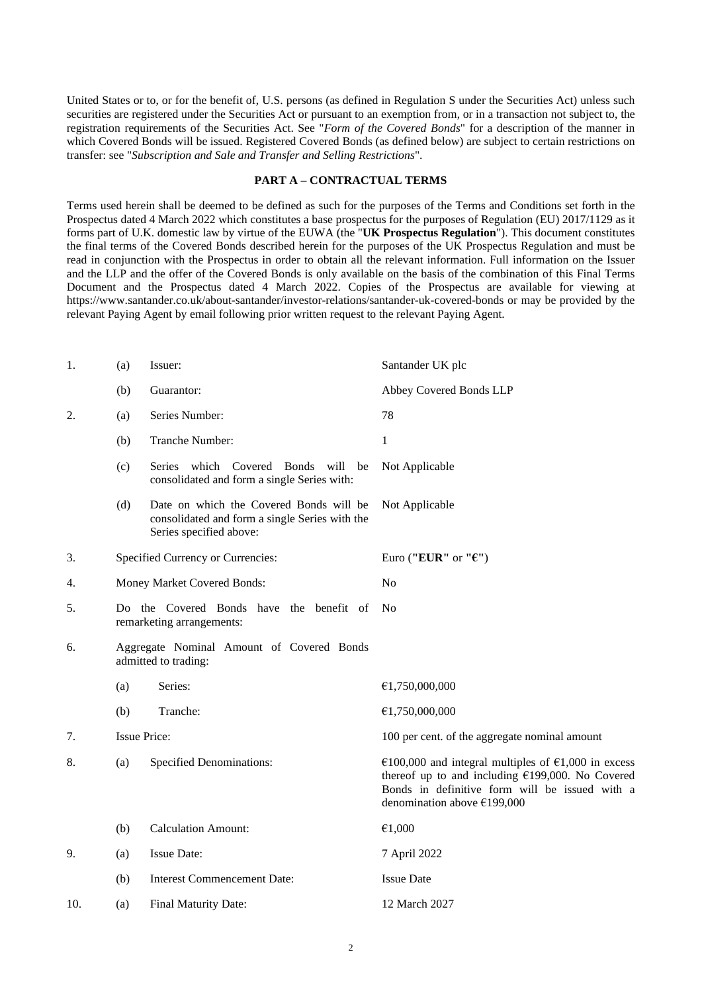United States or to, or for the benefit of, U.S. persons (as defined in Regulation S under the Securities Act) unless such securities are registered under the Securities Act or pursuant to an exemption from, or in a transaction not subject to, the registration requirements of the Securities Act. See "*Form of the Covered Bonds*" for a description of the manner in which Covered Bonds will be issued. Registered Covered Bonds (as defined below) are subject to certain restrictions on transfer: see "*Subscription and Sale and Transfer and Selling Restrictions*".

#### **PART A – CONTRACTUAL TERMS**

Terms used herein shall be deemed to be defined as such for the purposes of the Terms and Conditions set forth in the Prospectus dated 4 March 2022 which constitutes a base prospectus for the purposes of Regulation (EU) 2017/1129 as it forms part of U.K. domestic law by virtue of the EUWA (the "**UK Prospectus Regulation**"). This document constitutes the final terms of the Covered Bonds described herein for the purposes of the UK Prospectus Regulation and must be read in conjunction with the Prospectus in order to obtain all the relevant information. Full information on the Issuer and the LLP and the offer of the Covered Bonds is only available on the basis of the combination of this Final Terms Document and the Prospectus dated 4 March 2022. Copies of the Prospectus are available for viewing at https://www.santander.co.uk/about-santander/investor-relations/santander-uk-covered-bonds or may be provided by the relevant Paying Agent by email following prior written request to the relevant Paying Agent.

| (a) | Issuer:                                                                                                              | Santander UK plc                                                                                                                                                                                                                      |
|-----|----------------------------------------------------------------------------------------------------------------------|---------------------------------------------------------------------------------------------------------------------------------------------------------------------------------------------------------------------------------------|
| (b) | Guarantor:                                                                                                           | Abbey Covered Bonds LLP                                                                                                                                                                                                               |
| (a) | Series Number:                                                                                                       | 78                                                                                                                                                                                                                                    |
| (b) | Tranche Number:                                                                                                      | 1                                                                                                                                                                                                                                     |
| (c) | Series which Covered Bonds<br>will<br>be<br>consolidated and form a single Series with:                              | Not Applicable                                                                                                                                                                                                                        |
| (d) | Date on which the Covered Bonds will be<br>consolidated and form a single Series with the<br>Series specified above: | Not Applicable                                                                                                                                                                                                                        |
|     |                                                                                                                      | Euro ("EUR" or " $\epsilon$ ")                                                                                                                                                                                                        |
|     |                                                                                                                      | N <sub>o</sub>                                                                                                                                                                                                                        |
|     |                                                                                                                      | N <sub>0</sub>                                                                                                                                                                                                                        |
|     |                                                                                                                      |                                                                                                                                                                                                                                       |
| (a) | Series:                                                                                                              | €1,750,000,000                                                                                                                                                                                                                        |
| (b) | Tranche:                                                                                                             | €1,750,000,000                                                                                                                                                                                                                        |
|     |                                                                                                                      | 100 per cent. of the aggregate nominal amount                                                                                                                                                                                         |
| (a) | <b>Specified Denominations:</b>                                                                                      | €100,000 and integral multiples of €1,000 in excess<br>thereof up to and including $£199,000$ . No Covered<br>Bonds in definitive form will be issued with a<br>denomination above $£199,000$                                         |
| (b) | <b>Calculation Amount:</b>                                                                                           | €1,000                                                                                                                                                                                                                                |
| (a) | <b>Issue Date:</b>                                                                                                   | 7 April 2022                                                                                                                                                                                                                          |
| (b) | <b>Interest Commencement Date:</b>                                                                                   | <b>Issue Date</b>                                                                                                                                                                                                                     |
| (a) | Final Maturity Date:                                                                                                 | 12 March 2027                                                                                                                                                                                                                         |
|     |                                                                                                                      | Specified Currency or Currencies:<br>Money Market Covered Bonds:<br>Do the Covered Bonds have the benefit of<br>remarketing arrangements:<br>Aggregate Nominal Amount of Covered Bonds<br>admitted to trading:<br><b>Issue Price:</b> |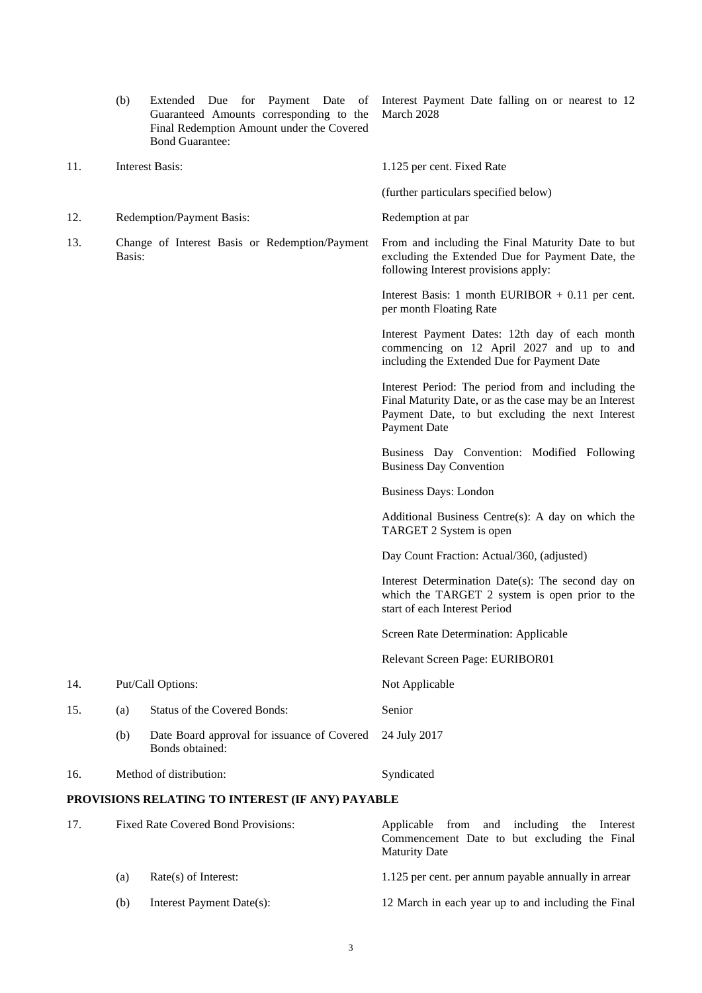|     | (b)                                                      | Extended Due for Payment Date of<br>Guaranteed Amounts corresponding to the<br>Final Redemption Amount under the Covered<br><b>Bond Guarantee:</b> | Interest Payment Date falling on or nearest to 12<br>March 2028                                                                                                                  |
|-----|----------------------------------------------------------|----------------------------------------------------------------------------------------------------------------------------------------------------|----------------------------------------------------------------------------------------------------------------------------------------------------------------------------------|
| 11. |                                                          | <b>Interest Basis:</b>                                                                                                                             | 1.125 per cent. Fixed Rate                                                                                                                                                       |
|     |                                                          |                                                                                                                                                    | (further particulars specified below)                                                                                                                                            |
| 12. |                                                          | Redemption/Payment Basis:                                                                                                                          | Redemption at par                                                                                                                                                                |
| 13. | Change of Interest Basis or Redemption/Payment<br>Basis: |                                                                                                                                                    | From and including the Final Maturity Date to but<br>excluding the Extended Due for Payment Date, the<br>following Interest provisions apply:                                    |
|     |                                                          |                                                                                                                                                    | Interest Basis: 1 month EURIBOR $+$ 0.11 per cent.<br>per month Floating Rate                                                                                                    |
|     |                                                          |                                                                                                                                                    | Interest Payment Dates: 12th day of each month<br>commencing on 12 April 2027 and up to and<br>including the Extended Due for Payment Date                                       |
|     |                                                          |                                                                                                                                                    | Interest Period: The period from and including the<br>Final Maturity Date, or as the case may be an Interest<br>Payment Date, to but excluding the next Interest<br>Payment Date |
|     |                                                          |                                                                                                                                                    | Business Day Convention: Modified Following<br><b>Business Day Convention</b>                                                                                                    |
|     |                                                          |                                                                                                                                                    | <b>Business Days: London</b>                                                                                                                                                     |
|     |                                                          |                                                                                                                                                    | Additional Business Centre(s): A day on which the<br>TARGET 2 System is open                                                                                                     |
|     |                                                          |                                                                                                                                                    | Day Count Fraction: Actual/360, (adjusted)                                                                                                                                       |
|     |                                                          |                                                                                                                                                    | Interest Determination Date(s): The second day on<br>which the TARGET 2 system is open prior to the<br>start of each Interest Period                                             |
|     |                                                          |                                                                                                                                                    | Screen Rate Determination: Applicable                                                                                                                                            |
|     |                                                          |                                                                                                                                                    | Relevant Screen Page: EURIBOR01                                                                                                                                                  |
| 14. |                                                          | Put/Call Options:                                                                                                                                  | Not Applicable                                                                                                                                                                   |
| 15. | (a)                                                      | <b>Status of the Covered Bonds:</b>                                                                                                                | Senior                                                                                                                                                                           |
|     | (b)                                                      | Date Board approval for issuance of Covered<br>Bonds obtained:                                                                                     | 24 July 2017                                                                                                                                                                     |
| 16. |                                                          | Method of distribution:                                                                                                                            | Syndicated                                                                                                                                                                       |
|     |                                                          | PROVISIONS RELATING TO INTEREST (IF ANY) PAYABLE                                                                                                   |                                                                                                                                                                                  |
| 17. |                                                          | Fixed Rate Covered Bond Provisions:                                                                                                                | Applicable from and including<br>the<br>Interest<br>Commencement Date to but excluding the Final<br><b>Maturity Date</b>                                                         |
|     | (a)                                                      | Rate(s) of Interest:                                                                                                                               | 1.125 per cent. per annum payable annually in arrear                                                                                                                             |

- 
- (b) Interest Payment Date(s): 12 March in each year up to and including the Final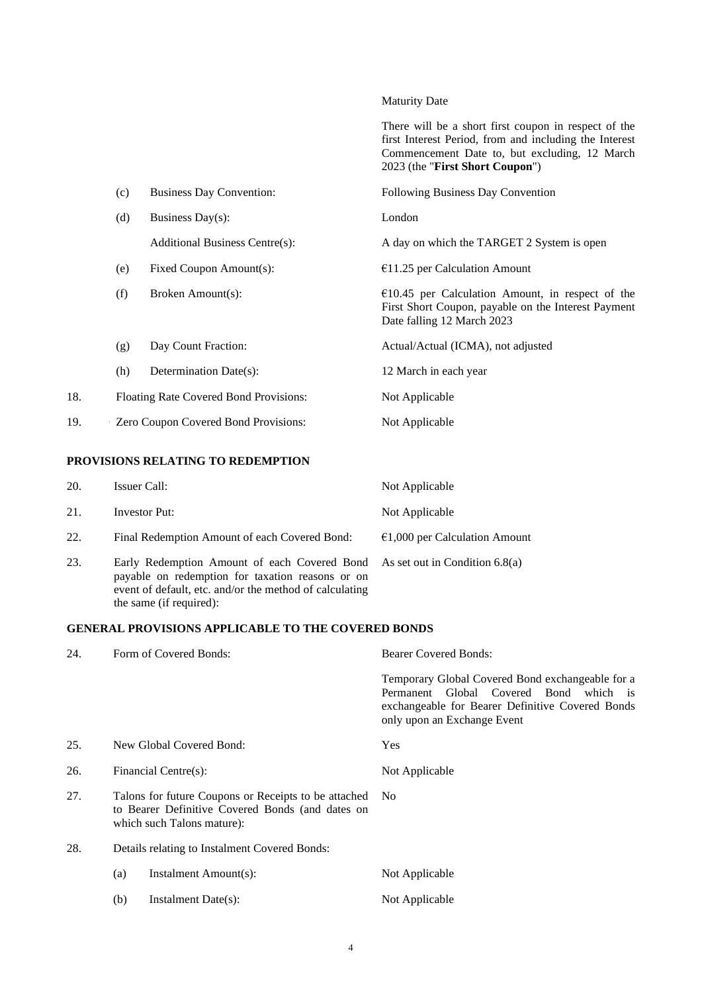Maturity Date

|     |     |                                        | There will be a short first coupon in respect of the<br>first Interest Period, from and including the Interest<br>Commencement Date to, but excluding, 12 March<br>2023 (the "First Short Coupon") |
|-----|-----|----------------------------------------|----------------------------------------------------------------------------------------------------------------------------------------------------------------------------------------------------|
|     | (c) | <b>Business Day Convention:</b>        | Following Business Day Convention                                                                                                                                                                  |
|     | (d) | Business Day $(s)$ :                   | London                                                                                                                                                                                             |
|     |     | <b>Additional Business Centre(s):</b>  | A day on which the TARGET 2 System is open                                                                                                                                                         |
|     | (e) | Fixed Coupon Amount(s):                | $€11.25$ per Calculation Amount                                                                                                                                                                    |
|     | (f) | Broken Amount(s):                      | $€10.45$ per Calculation Amount, in respect of the<br>First Short Coupon, payable on the Interest Payment<br>Date falling 12 March 2023                                                            |
|     | (g) | Day Count Fraction:                    | Actual/Actual (ICMA), not adjusted                                                                                                                                                                 |
|     | (h) | Determination Date(s):                 | 12 March in each year                                                                                                                                                                              |
| 18. |     | Floating Rate Covered Bond Provisions: | Not Applicable                                                                                                                                                                                     |
| 19. |     | Zero Coupon Covered Bond Provisions:   | Not Applicable                                                                                                                                                                                     |
|     |     |                                        |                                                                                                                                                                                                    |

# **PROVISIONS RELATING TO REDEMPTION**

| 20. | Issuer Call:                                                                                                                                                                                                          | Not Applicable                          |
|-----|-----------------------------------------------------------------------------------------------------------------------------------------------------------------------------------------------------------------------|-----------------------------------------|
| 21. | <b>Investor Put:</b>                                                                                                                                                                                                  | Not Applicable                          |
| 22. | Final Redemption Amount of each Covered Bond:                                                                                                                                                                         | $\epsilon$ 1,000 per Calculation Amount |
| 23. | Early Redemption Amount of each Covered Bond As set out in Condition 6.8(a)<br>payable on redemption for taxation reasons or on<br>event of default, etc. and/or the method of calculating<br>the same (if required): |                                         |

# **GENERAL PROVISIONS APPLICABLE TO THE COVERED BONDS**

| 24. | Form of Covered Bonds:                                                                                                                 | <b>Bearer Covered Bonds:</b>                                                                                                                                                  |  |
|-----|----------------------------------------------------------------------------------------------------------------------------------------|-------------------------------------------------------------------------------------------------------------------------------------------------------------------------------|--|
|     |                                                                                                                                        | Temporary Global Covered Bond exchangeable for a<br>Permanent Global Covered Bond which is<br>exchangeable for Bearer Definitive Covered Bonds<br>only upon an Exchange Event |  |
| 25. | New Global Covered Bond:                                                                                                               | <b>Yes</b>                                                                                                                                                                    |  |
| 26. | Financial Centre(s):                                                                                                                   | Not Applicable                                                                                                                                                                |  |
| 27. | Talons for future Coupons or Receipts to be attached<br>to Bearer Definitive Covered Bonds (and dates on<br>which such Talons mature): | No.                                                                                                                                                                           |  |
| 28. | Details relating to Instalment Covered Bonds:                                                                                          |                                                                                                                                                                               |  |
|     | Instalment Amount(s):<br>(a)                                                                                                           | Not Applicable                                                                                                                                                                |  |
|     | Instalment Date(s):<br>(b)                                                                                                             | Not Applicable                                                                                                                                                                |  |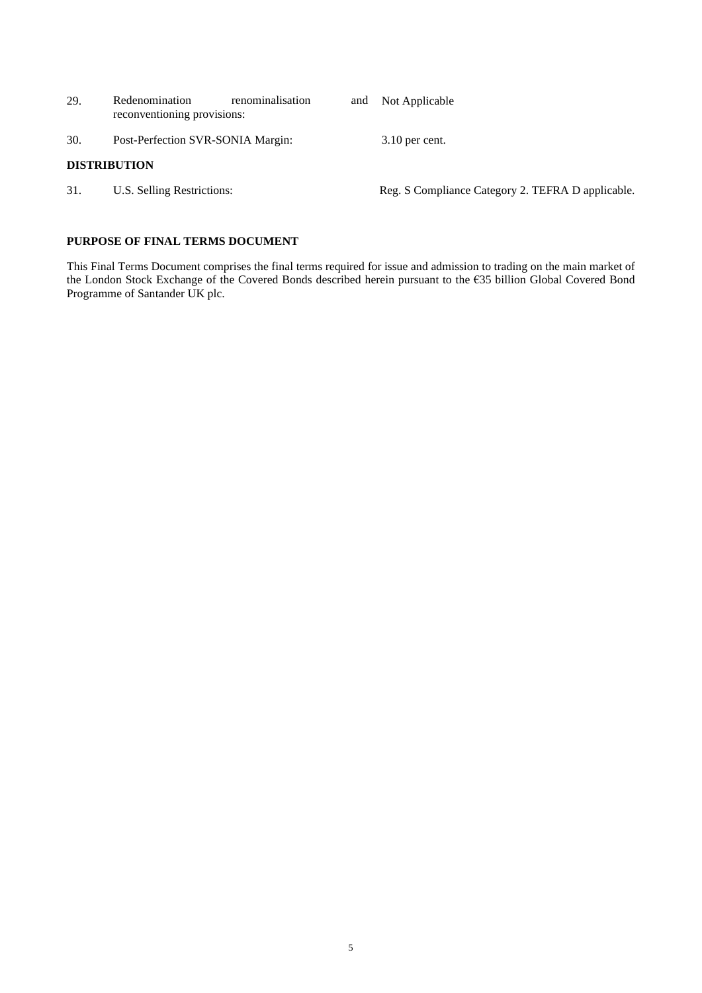| 29. | renominalisation<br>Redenomination<br>reconventioning provisions: | and | Not Applicable                                    |
|-----|-------------------------------------------------------------------|-----|---------------------------------------------------|
| 30. | Post-Perfection SVR-SONIA Margin:                                 |     | $3.10$ per cent.                                  |
|     | <b>DISTRIBUTION</b>                                               |     |                                                   |
| 31. | U.S. Selling Restrictions:                                        |     | Reg. S Compliance Category 2. TEFRA D applicable. |

# **PURPOSE OF FINAL TERMS DOCUMENT**

This Final Terms Document comprises the final terms required for issue and admission to trading on the main market of the London Stock Exchange of the Covered Bonds described herein pursuant to the €35 billion Global Covered Bond Programme of Santander UK plc.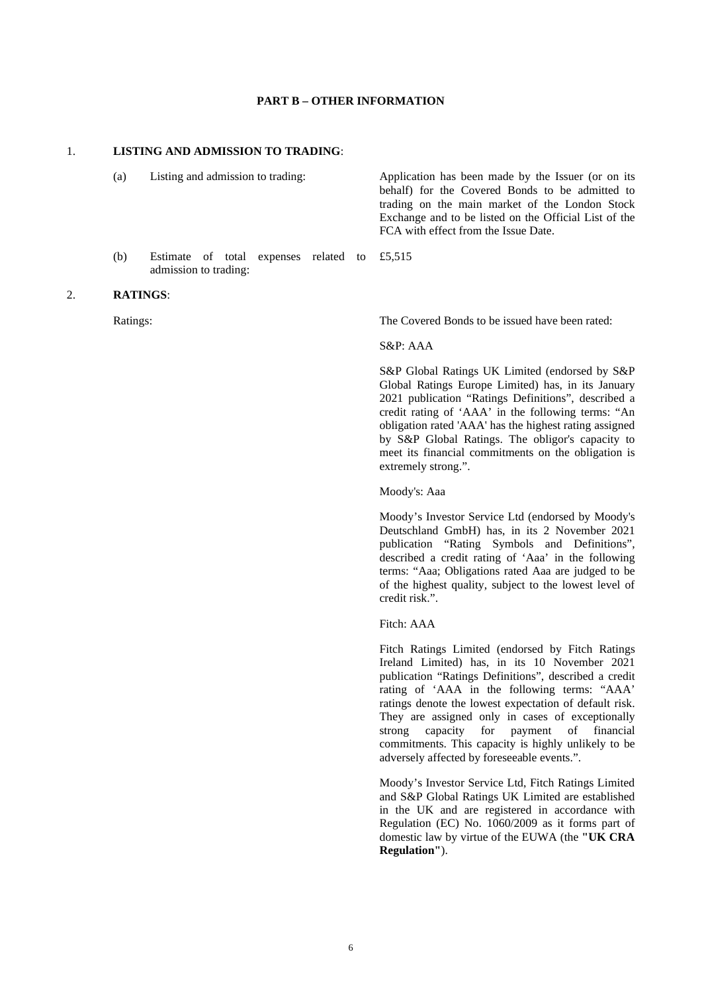#### **PART B – OTHER INFORMATION**

#### 1. **LISTING AND ADMISSION TO TRADING**:

(a) Listing and admission to trading: Application has been made by the Issuer (or on its behalf) for the Covered Bonds to be admitted to trading on the main market of the London Stock Exchange and to be listed on the Official List of the FCA with effect from the Issue Date.

(b) Estimate of total expenses related to £5,515 admission to trading:

#### 2. **RATINGS**:

Ratings: The Covered Bonds to be issued have been rated:

#### S&P: AAA

S&P Global Ratings UK Limited (endorsed by S&P Global Ratings Europe Limited) has, in its January 2021 publication "Ratings Definitions", described a credit rating of 'AAA' in the following terms: "An obligation rated 'AAA' has the highest rating assigned by S&P Global Ratings. The obligor's capacity to meet its financial commitments on the obligation is extremely strong.".

#### Moody's: Aaa

Moody's Investor Service Ltd (endorsed by Moody's Deutschland GmbH) has, in its 2 November 2021 publication "Rating Symbols and Definitions", described a credit rating of 'Aaa' in the following terms: "Aaa; Obligations rated Aaa are judged to be of the highest quality, subject to the lowest level of credit risk.".

#### Fitch: AAA

Fitch Ratings Limited (endorsed by Fitch Ratings Ireland Limited) has, in its 10 November 2021 publication "Ratings Definitions", described a credit rating of 'AAA in the following terms: "AAA' ratings denote the lowest expectation of default risk. They are assigned only in cases of exceptionally strong capacity for payment of financial commitments. This capacity is highly unlikely to be adversely affected by foreseeable events.".

Moody's Investor Service Ltd, Fitch Ratings Limited and S&P Global Ratings UK Limited are established in the UK and are registered in accordance with Regulation (EC) No. 1060/2009 as it forms part of domestic law by virtue of the EUWA (the **"UK CRA Regulation"**).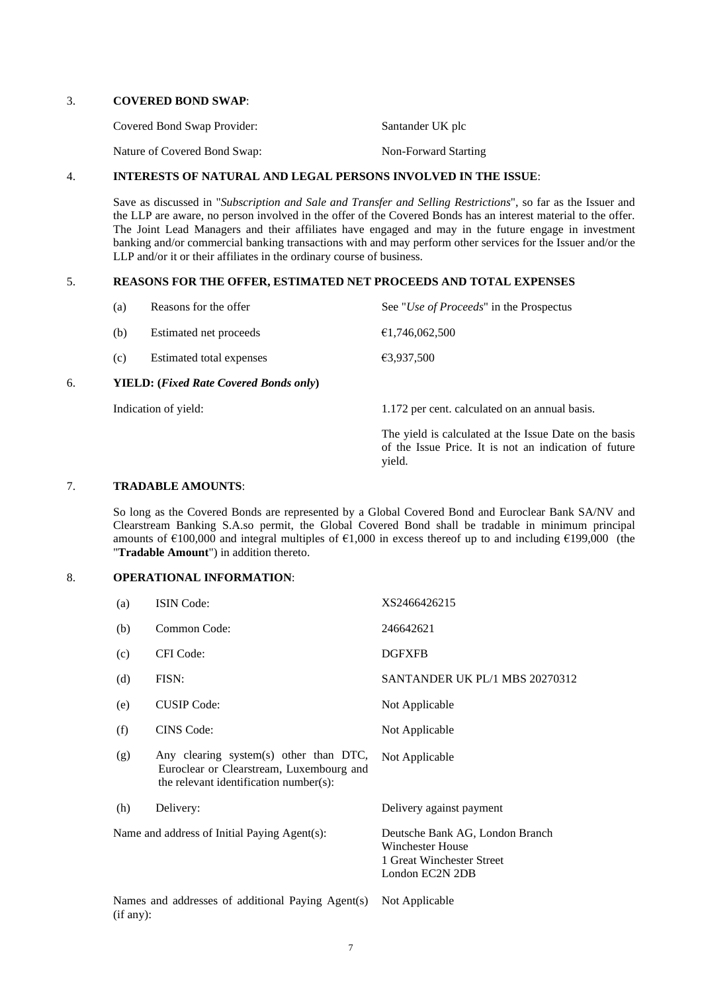### 3. **COVERED BOND SWAP**:

| Covered Bond Swap Provider:  | Santander UK plc     |
|------------------------------|----------------------|
| Nature of Covered Bond Swap: | Non-Forward Starting |

## 4. **INTERESTS OF NATURAL AND LEGAL PERSONS INVOLVED IN THE ISSUE**:

Save as discussed in "*Subscription and Sale and Transfer and Selling Restrictions*", so far as the Issuer and the LLP are aware, no person involved in the offer of the Covered Bonds has an interest material to the offer. The Joint Lead Managers and their affiliates have engaged and may in the future engage in investment banking and/or commercial banking transactions with and may perform other services for the Issuer and/or the LLP and/or it or their affiliates in the ordinary course of business.

## 5. **REASONS FOR THE OFFER, ESTIMATED NET PROCEEDS AND TOTAL EXPENSES**

| б. |     | <b>YIELD:</b> (Fixed Rate Covered Bonds only) |                                                  |
|----|-----|-----------------------------------------------|--------------------------------------------------|
|    | (c) | Estimated total expenses                      | €3,937,500                                       |
|    | (b) | Estimated net proceeds                        | €1,746,062,500                                   |
|    | (a) | Reasons for the offer                         | See " <i>Use of Proceeds</i> " in the Prospectus |

Indication of yield: 1.172 per cent. calculated on an annual basis.

The yield is calculated at the Issue Date on the basis of the Issue Price. It is not an indication of future yield.

## 7. **TRADABLE AMOUNTS**:

So long as the Covered Bonds are represented by a Global Covered Bond and Euroclear Bank SA/NV and Clearstream Banking S.A.so permit, the Global Covered Bond shall be tradable in minimum principal amounts of €100,000 and integral multiples of €1,000 in excess thereof up to and including €199,000 (the "**Tradable Amount**") in addition thereto.

# 8. **OPERATIONAL INFORMATION**:

| (a)                                                            | <b>ISIN</b> Code:                                                                                                            | XS2466426215                                                                                        |
|----------------------------------------------------------------|------------------------------------------------------------------------------------------------------------------------------|-----------------------------------------------------------------------------------------------------|
| (b)                                                            | Common Code:                                                                                                                 | 246642621                                                                                           |
| (c)                                                            | CFI Code:                                                                                                                    | <b>DGFXFB</b>                                                                                       |
| (d)                                                            | FISN:                                                                                                                        | SANTANDER UK PL/1 MBS 20270312                                                                      |
| (e)                                                            | <b>CUSIP</b> Code:                                                                                                           | Not Applicable                                                                                      |
| (f)                                                            | <b>CINS</b> Code:                                                                                                            | Not Applicable                                                                                      |
| (g)                                                            | Any clearing system(s) other than DTC,<br>Euroclear or Clearstream, Luxembourg and<br>the relevant identification number(s): | Not Applicable                                                                                      |
| (h)                                                            | Delivery:                                                                                                                    | Delivery against payment                                                                            |
|                                                                | Name and address of Initial Paying Agent(s):                                                                                 | Deutsche Bank AG, London Branch<br>Winchester House<br>1 Great Winchester Street<br>London EC2N 2DB |
| Names and addresses of additional Paying Agent(s)<br>(if any): |                                                                                                                              | Not Applicable                                                                                      |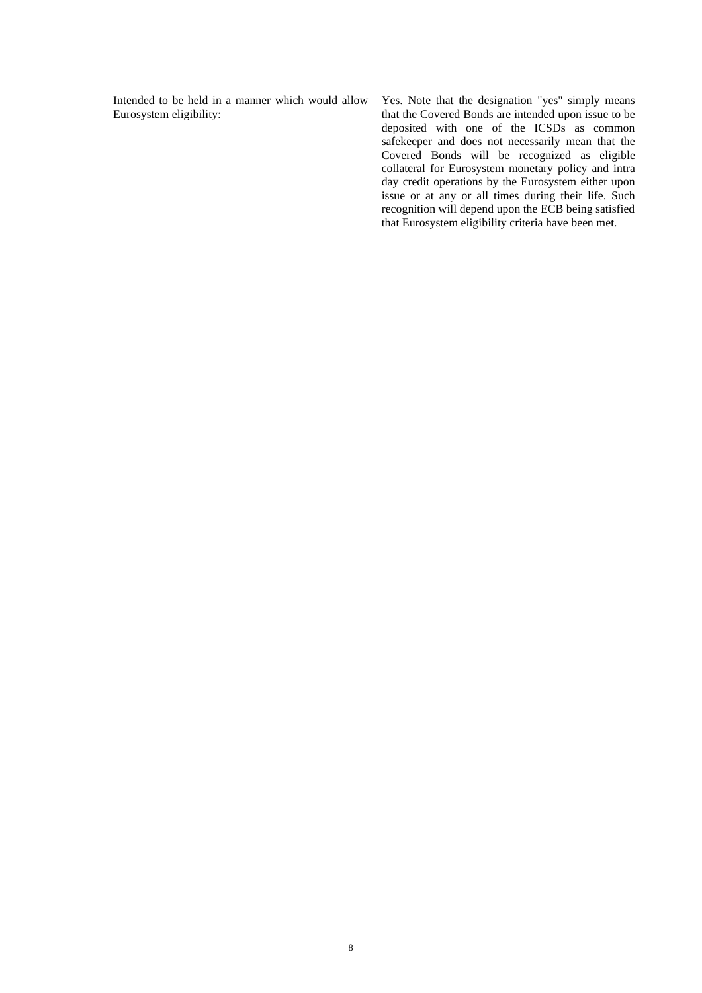Intended to be held in a manner which would allow Eurosystem eligibility:

Yes. Note that the designation "yes" simply means that the Covered Bonds are intended upon issue to be deposited with one of the ICSDs as common safekeeper and does not necessarily mean that the Covered Bonds will be recognized as eligible collateral for Eurosystem monetary policy and intra day credit operations by the Eurosystem either upon issue or at any or all times during their life. Such recognition will depend upon the ECB being satisfied that Eurosystem eligibility criteria have been met.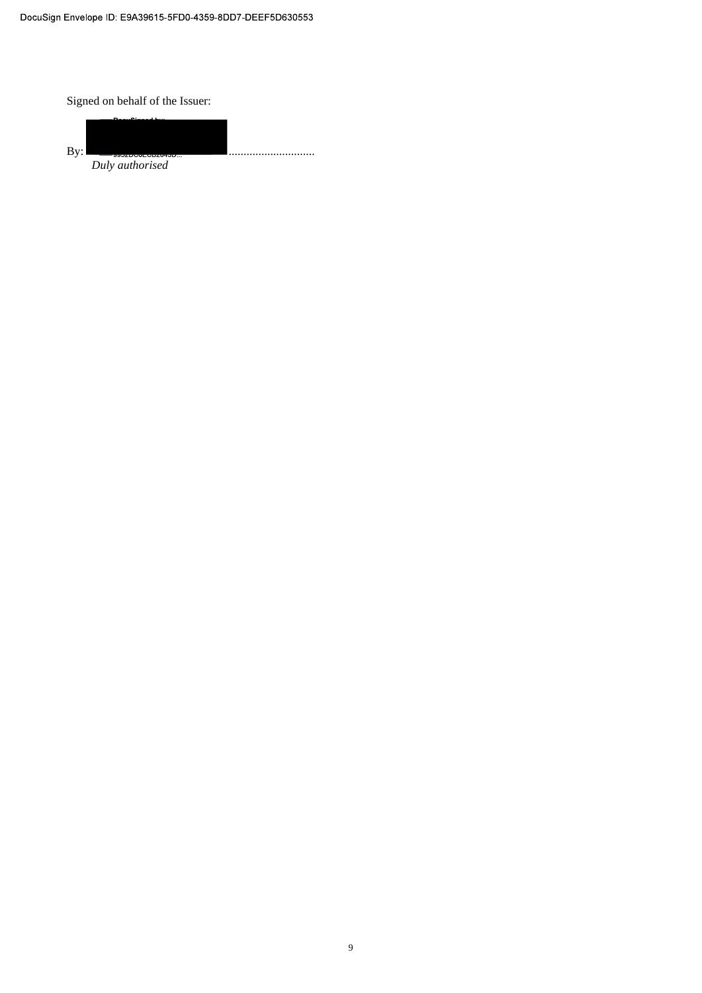Signed on behalf of the Issuer:

By: Duly authorised